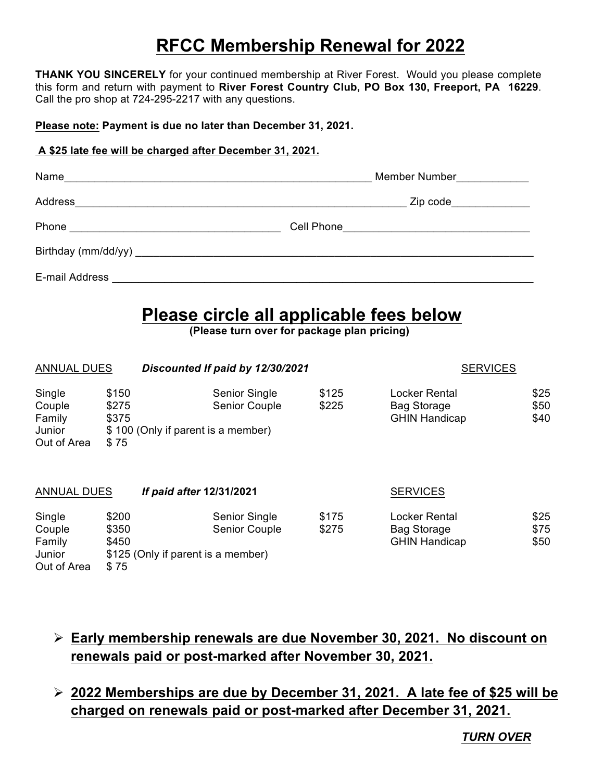## **RFCC Membership Renewal for 2022**

**THANK YOU SINCERELY** for your continued membership at River Forest. Would you please complete this form and return with payment to **River Forest Country Club, PO Box 130, Freeport, PA 16229**. Call the pro shop at 724-295-2217 with any questions.

**Please note: Payment is due no later than December 31, 2021.**

## **A \$25 late fee will be charged after December 31, 2021.**

| Name           | Member Number                             |
|----------------|-------------------------------------------|
| <b>Address</b> | Zip code ______________                   |
| Phone          | Cell Phone_______________________________ |
|                |                                           |
| E-mail Address |                                           |

## **Please circle all applicable fees below**<br>(Please turn over for package plan pricing)

| <b>ANNUAL DUES</b>                                  |                                 | Discounted If paid by 12/30/2021                                                   | <b>SERVICES</b> |                                                             |                      |
|-----------------------------------------------------|---------------------------------|------------------------------------------------------------------------------------|-----------------|-------------------------------------------------------------|----------------------|
| Single<br>Couple<br>Family<br>Junior<br>Out of Area | \$150<br>\$275<br>\$375<br>\$75 | Senior Single<br><b>Senior Couple</b><br>\$100 (Only if parent is a member)        | \$125<br>\$225  | Locker Rental<br><b>Bag Storage</b><br><b>GHIN Handicap</b> | \$25<br>\$50<br>\$40 |
| <b>ANNUAL DUES</b>                                  |                                 | If paid after 12/31/2021                                                           |                 | <b>SERVICES</b>                                             |                      |
| Single<br>Couple<br>Family<br>Junior<br>Out of Area | \$200<br>\$350<br>\$450<br>\$75 | <b>Senior Single</b><br><b>Senior Couple</b><br>\$125 (Only if parent is a member) | \$175<br>\$275  | Locker Rental<br><b>Bag Storage</b><br><b>GHIN Handicap</b> | \$25<br>\$75<br>\$50 |

- Ø **Early membership renewals are due November 30, 2021. No discount on renewals paid or post-marked after November 30, 2021.**
- Ø **2022 Memberships are due by December 31, 2021. A late fee of \$25 will be charged on renewals paid or post-marked after December 31, 2021.**

*TURN OVER*